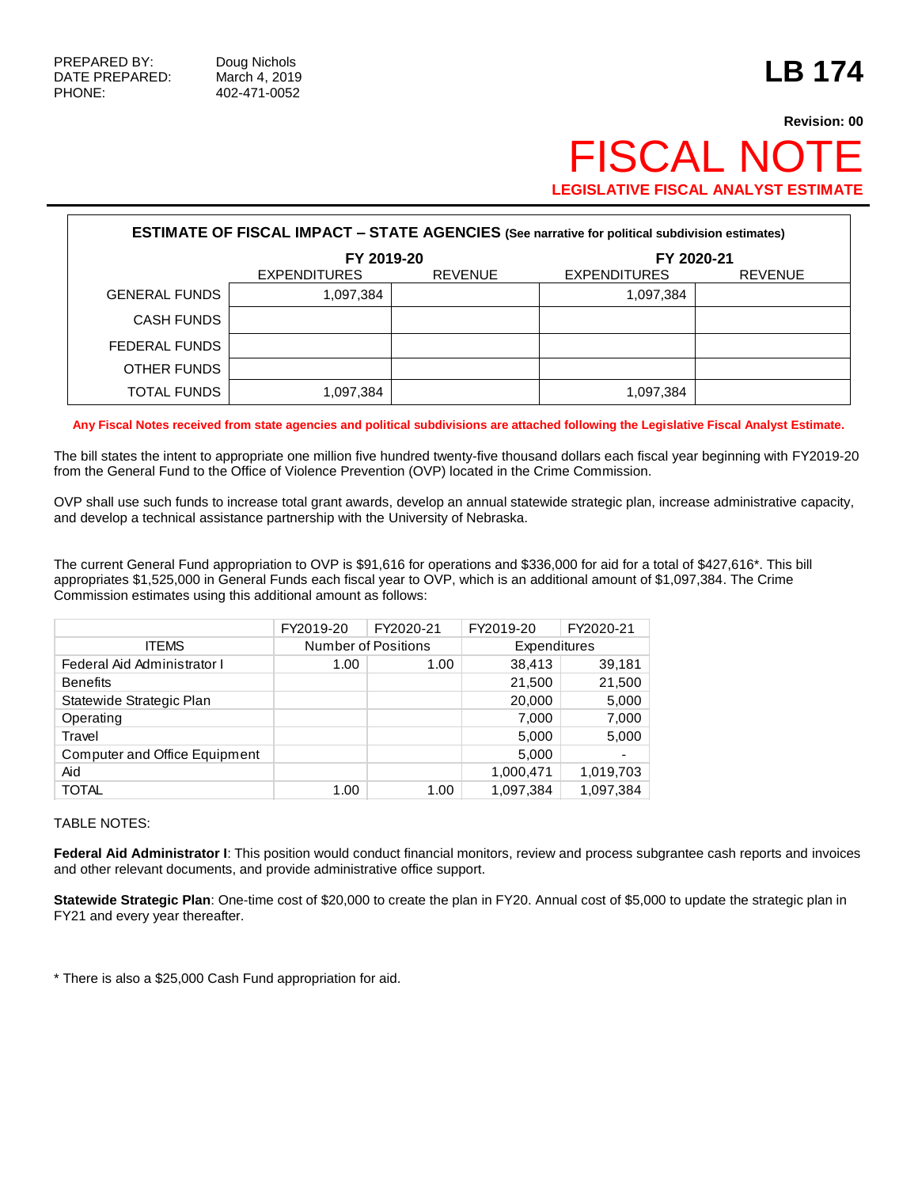## **Revision: 00 FISCAL NOT LEGISLATIVE FISCAL ANALYST ESTIMATE**

| <b>ESTIMATE OF FISCAL IMPACT - STATE AGENCIES (See narrative for political subdivision estimates)</b> |                     |                |                     |                |  |
|-------------------------------------------------------------------------------------------------------|---------------------|----------------|---------------------|----------------|--|
|                                                                                                       | FY 2019-20          |                | FY 2020-21          |                |  |
|                                                                                                       | <b>EXPENDITURES</b> | <b>REVENUE</b> | <b>EXPENDITURES</b> | <b>REVENUE</b> |  |
| <b>GENERAL FUNDS</b>                                                                                  | 1,097,384           |                | 1,097,384           |                |  |
| <b>CASH FUNDS</b>                                                                                     |                     |                |                     |                |  |
| FEDERAL FUNDS                                                                                         |                     |                |                     |                |  |
| OTHER FUNDS                                                                                           |                     |                |                     |                |  |
| TOTAL FUNDS                                                                                           | 1,097,384           |                | 1,097,384           |                |  |

**Any Fiscal Notes received from state agencies and political subdivisions are attached following the Legislative Fiscal Analyst Estimate.**

The bill states the intent to appropriate one million five hundred twenty-five thousand dollars each fiscal year beginning with FY2019-20 from the General Fund to the Office of Violence Prevention (OVP) located in the Crime Commission.

OVP shall use such funds to increase total grant awards, develop an annual statewide strategic plan, increase administrative capacity, and develop a technical assistance partnership with the University of Nebraska.

The current General Fund appropriation to OVP is \$91,616 for operations and \$336,000 for aid for a total of \$427,616\*. This bill appropriates \$1,525,000 in General Funds each fiscal year to OVP, which is an additional amount of \$1,097,384. The Crime Commission estimates using this additional amount as follows:

|                                      | FY2019-20                  | FY2020-21 | FY2019-20    | FY2020-21                |
|--------------------------------------|----------------------------|-----------|--------------|--------------------------|
| <b>ITEMS</b>                         | <b>Number of Positions</b> |           | Expenditures |                          |
| Federal Aid Administrator I          | 1.00                       | 1.00      | 38,413       | 39,181                   |
| <b>Benefits</b>                      |                            |           | 21,500       | 21,500                   |
| Statewide Strategic Plan             |                            |           | 20,000       | 5,000                    |
| Operating                            |                            |           | 7,000        | 7,000                    |
| Travel                               |                            |           | 5,000        | 5,000                    |
| <b>Computer and Office Equipment</b> |                            |           | 5,000        | $\overline{\phantom{0}}$ |
| Aid                                  |                            |           | 1,000,471    | 1,019,703                |
| <b>TOTAL</b>                         | 1.00                       | 1.00      | 1.097.384    | 1.097.384                |

## TABLE NOTES:

**Federal Aid Administrator I**: This position would conduct financial monitors, review and process subgrantee cash reports and invoices and other relevant documents, and provide administrative office support.

**Statewide Strategic Plan**: One-time cost of \$20,000 to create the plan in FY20. Annual cost of \$5,000 to update the strategic plan in FY21 and every year thereafter.

\* There is also a \$25,000 Cash Fund appropriation for aid.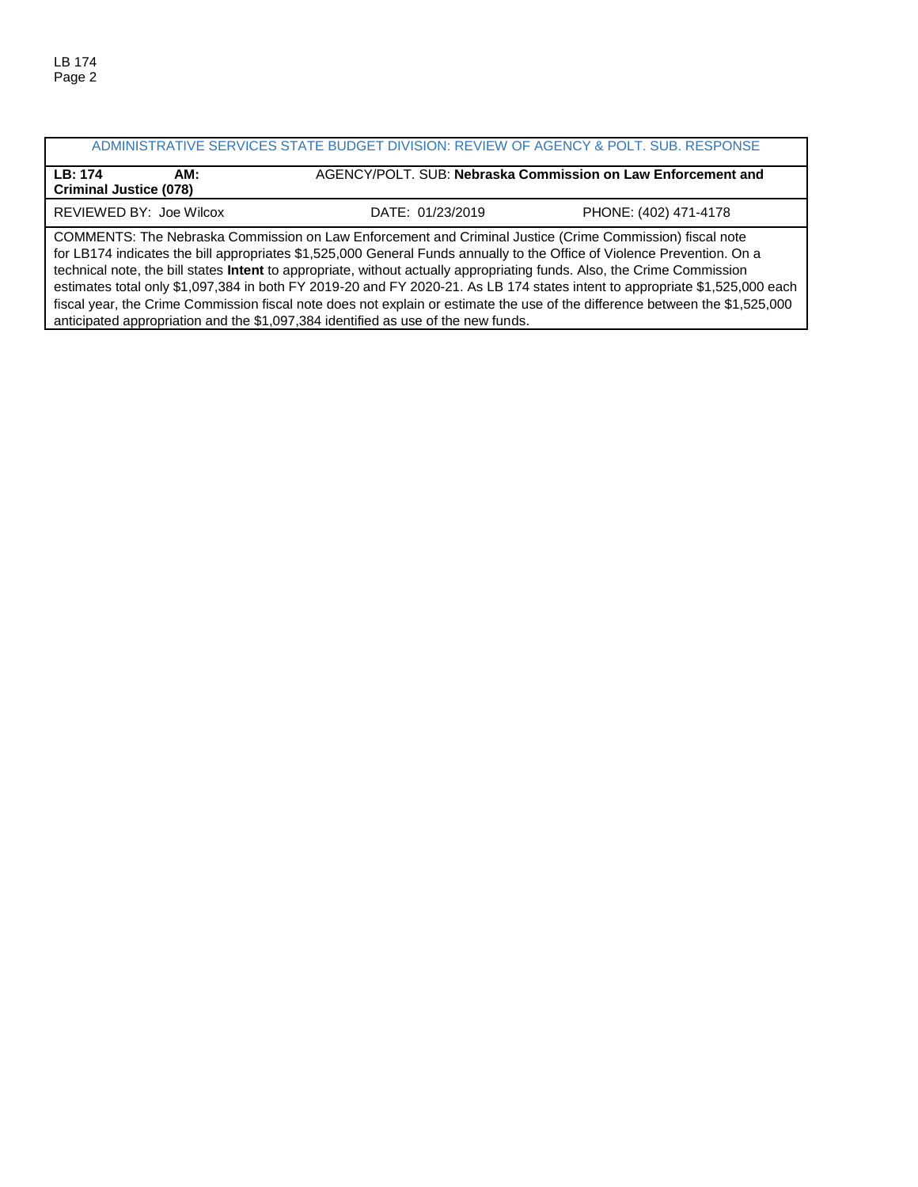## ADMINISTRATIVE SERVICES STATE BUDGET DIVISION: REVIEW OF AGENCY & POLT. SUB. RESPONSE **LB: 174 AM:** AGENCY/POLT. SUB: **Nebraska Commission on Law Enforcement and Criminal Justice (078)**

REVIEWED BY: Joe Wilcox DATE: 01/23/2019 PHONE: (402) 471-4178

COMMENTS: The Nebraska Commission on Law Enforcement and Criminal Justice (Crime Commission) fiscal note for LB174 indicates the bill appropriates \$1,525,000 General Funds annually to the Office of Violence Prevention. On a technical note, the bill states **Intent** to appropriate, without actually appropriating funds. Also, the Crime Commission estimates total only \$1,097,384 in both FY 2019-20 and FY 2020-21. As LB 174 states intent to appropriate \$1,525,000 each fiscal year, the Crime Commission fiscal note does not explain or estimate the use of the difference between the \$1,525,000 anticipated appropriation and the \$1,097,384 identified as use of the new funds.